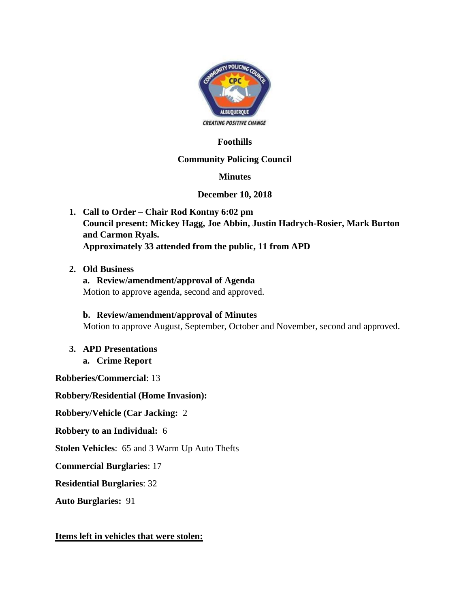

# **Foothills**

### **Community Policing Council**

### **Minutes**

### **December 10, 2018**

- **1. Call to Order – Chair Rod Kontny 6:02 pm Council present: Mickey Hagg, Joe Abbin, Justin Hadrych-Rosier, Mark Burton and Carmon Ryals. Approximately 33 attended from the public, 11 from APD**
- **2. Old Business**

**a. Review/amendment/approval of Agenda** Motion to approve agenda, second and approved.

**b. Review/amendment/approval of Minutes** Motion to approve August, September, October and November, second and approved.

**3. APD Presentations a. Crime Report**

**Robberies/Commercial**: 13

**Robbery/Residential (Home Invasion):**

**Robbery/Vehicle (Car Jacking:** 2

**Robbery to an Individual:** 6

**Stolen Vehicles**: 65 and 3 Warm Up Auto Thefts

**Commercial Burglaries**: 17

**Residential Burglaries**: 32

**Auto Burglaries:** 91

#### **Items left in vehicles that were stolen:**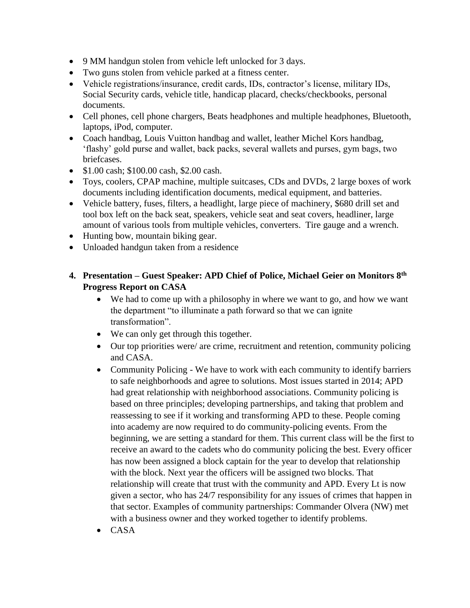- 9 MM handgun stolen from vehicle left unlocked for 3 days.
- Two guns stolen from vehicle parked at a fitness center.
- Vehicle registrations/insurance, credit cards, IDs, contractor's license, military IDs, Social Security cards, vehicle title, handicap placard, checks/checkbooks, personal documents.
- Cell phones, cell phone chargers, Beats headphones and multiple headphones, Bluetooth, laptops, iPod, computer.
- Coach handbag, Louis Vuitton handbag and wallet, leather Michel Kors handbag, 'flashy' gold purse and wallet, back packs, several wallets and purses, gym bags, two briefcases.
- $\bullet$  \$1.00 cash; \$100.00 cash, \$2.00 cash.
- Toys, coolers, CPAP machine, multiple suitcases, CDs and DVDs, 2 large boxes of work documents including identification documents, medical equipment, and batteries.
- Vehicle battery, fuses, filters, a headlight, large piece of machinery, \$680 drill set and tool box left on the back seat, speakers, vehicle seat and seat covers, headliner, large amount of various tools from multiple vehicles, converters. Tire gauge and a wrench.
- Hunting bow, mountain biking gear.
- Unloaded handgun taken from a residence

## **4. Presentation – Guest Speaker: APD Chief of Police, Michael Geier on Monitors 8th Progress Report on CASA**

- We had to come up with a philosophy in where we want to go, and how we want the department "to illuminate a path forward so that we can ignite transformation".
- We can only get through this together.
- Our top priorities were/ are crime, recruitment and retention, community policing and CASA.
- Community Policing We have to work with each community to identify barriers to safe neighborhoods and agree to solutions. Most issues started in 2014; APD had great relationship with neighborhood associations. Community policing is based on three principles; developing partnerships, and taking that problem and reassessing to see if it working and transforming APD to these. People coming into academy are now required to do community-policing events. From the beginning, we are setting a standard for them. This current class will be the first to receive an award to the cadets who do community policing the best. Every officer has now been assigned a block captain for the year to develop that relationship with the block. Next year the officers will be assigned two blocks. That relationship will create that trust with the community and APD. Every Lt is now given a sector, who has 24/7 responsibility for any issues of crimes that happen in that sector. Examples of community partnerships: Commander Olvera (NW) met with a business owner and they worked together to identify problems.
- $\bullet$  CASA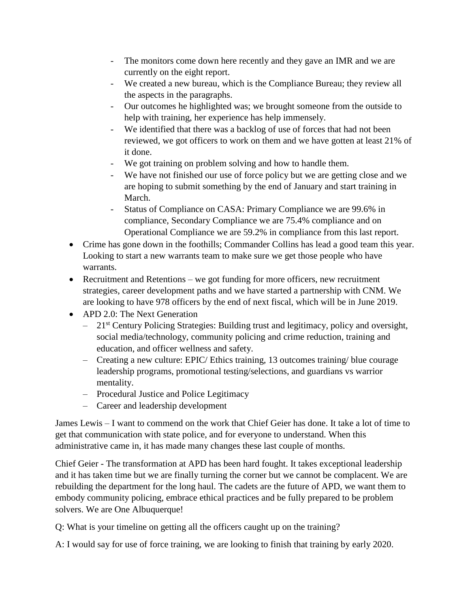- The monitors come down here recently and they gave an IMR and we are currently on the eight report.
- We created a new bureau, which is the Compliance Bureau; they review all the aspects in the paragraphs.
- Our outcomes he highlighted was; we brought someone from the outside to help with training, her experience has help immensely.
- We identified that there was a backlog of use of forces that had not been reviewed, we got officers to work on them and we have gotten at least 21% of it done.
- We got training on problem solving and how to handle them.
- We have not finished our use of force policy but we are getting close and we are hoping to submit something by the end of January and start training in March.
- Status of Compliance on CASA: Primary Compliance we are 99.6% in compliance, Secondary Compliance we are 75.4% compliance and on Operational Compliance we are 59.2% in compliance from this last report.
- Crime has gone down in the foothills; Commander Collins has lead a good team this year. Looking to start a new warrants team to make sure we get those people who have warrants.
- Recruitment and Retentions we got funding for more officers, new recruitment strategies, career development paths and we have started a partnership with CNM. We are looking to have 978 officers by the end of next fiscal, which will be in June 2019.
- APD 2.0: The Next Generation
	- $-21<sup>st</sup>$  Century Policing Strategies: Building trust and legitimacy, policy and oversight, social media/technology, community policing and crime reduction, training and education, and officer wellness and safety.
	- Creating a new culture: EPIC/ Ethics training, 13 outcomes training/ blue courage leadership programs, promotional testing/selections, and guardians vs warrior mentality.
	- Procedural Justice and Police Legitimacy
	- Career and leadership development

James Lewis – I want to commend on the work that Chief Geier has done. It take a lot of time to get that communication with state police, and for everyone to understand. When this administrative came in, it has made many changes these last couple of months.

Chief Geier - The transformation at APD has been hard fought. It takes exceptional leadership and it has taken time but we are finally turning the corner but we cannot be complacent. We are rebuilding the department for the long haul. The cadets are the future of APD, we want them to embody community policing, embrace ethical practices and be fully prepared to be problem solvers. We are One Albuquerque!

Q: What is your timeline on getting all the officers caught up on the training?

A: I would say for use of force training, we are looking to finish that training by early 2020.